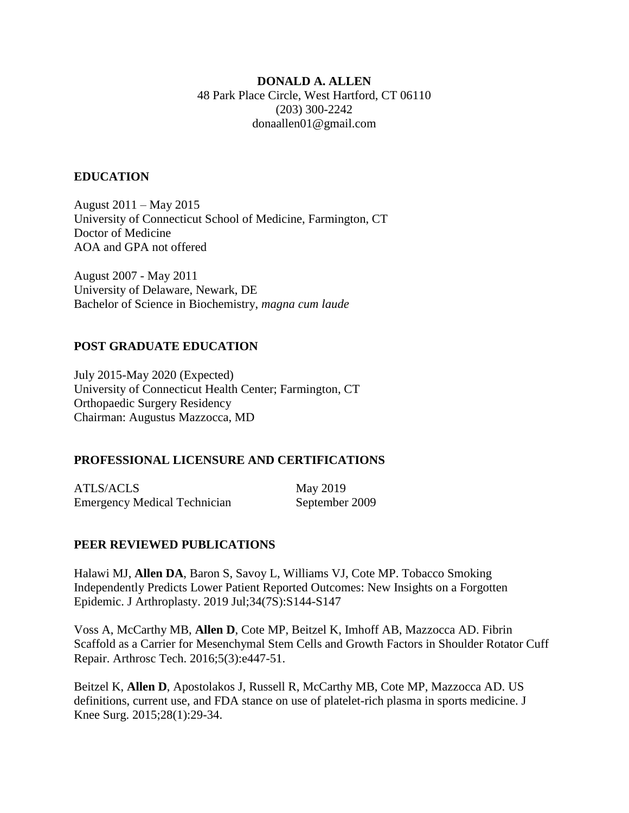#### **DONALD A. ALLEN**

48 Park Place Circle, West Hartford, CT 06110 (203) 300-2242 donaallen01@gmail.com

#### **EDUCATION**

August 2011 – May 2015 University of Connecticut School of Medicine, Farmington, CT Doctor of Medicine AOA and GPA not offered

August 2007 - May 2011 University of Delaware, Newark, DE Bachelor of Science in Biochemistry, *magna cum laude*

#### **POST GRADUATE EDUCATION**

July 2015-May 2020 (Expected) University of Connecticut Health Center; Farmington, CT Orthopaedic Surgery Residency Chairman: Augustus Mazzocca, MD

#### **PROFESSIONAL LICENSURE AND CERTIFICATIONS**

ATLS/ACLS May 2019 Emergency Medical Technician September 2009

#### **PEER REVIEWED PUBLICATIONS**

Halawi MJ, **Allen DA**, Baron S, Savoy L, Williams VJ, Cote MP. Tobacco Smoking Independently Predicts Lower Patient Reported Outcomes: New Insights on a Forgotten Epidemic. J Arthroplasty. 2019 Jul;34(7S):S144-S147

Voss A, McCarthy MB, **Allen D**, Cote MP, Beitzel K, Imhoff AB, Mazzocca AD. Fibrin Scaffold as a Carrier for Mesenchymal Stem Cells and Growth Factors in Shoulder Rotator Cuff Repair. Arthrosc Tech. 2016;5(3):e447-51.

Beitzel K, **Allen D**, Apostolakos J, Russell R, McCarthy MB, Cote MP, Mazzocca AD. US definitions, current use, and FDA stance on use of platelet-rich plasma in sports medicine. J Knee Surg. 2015;28(1):29-34.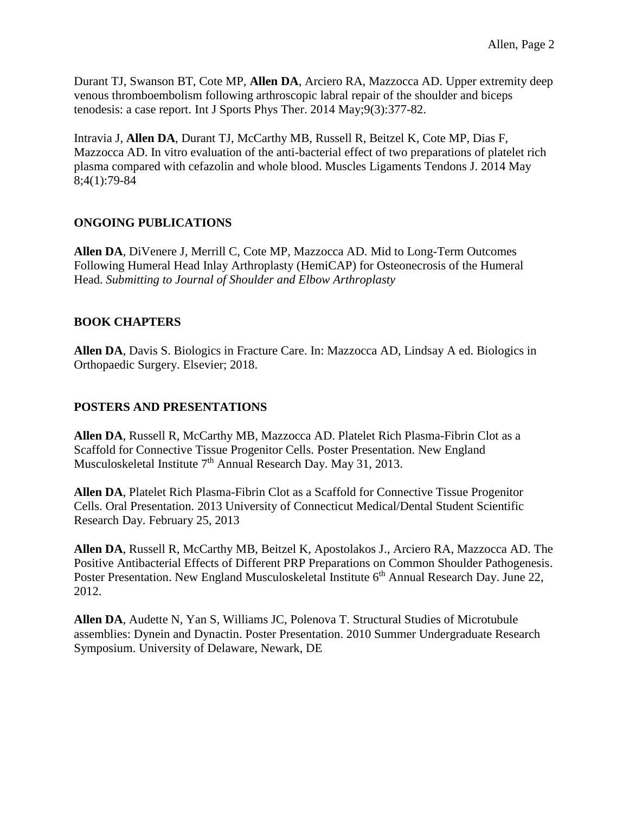Durant TJ, Swanson BT, Cote MP, **Allen DA**, Arciero RA, Mazzocca AD. Upper extremity deep venous thromboembolism following arthroscopic labral repair of the shoulder and biceps tenodesis: a case report. Int J Sports Phys Ther. 2014 May;9(3):377-82.

Intravia J, **Allen DA**, Durant TJ, McCarthy MB, Russell R, Beitzel K, Cote MP, Dias F, Mazzocca AD. In vitro evaluation of the anti-bacterial effect of two preparations of platelet rich plasma compared with cefazolin and whole blood. Muscles Ligaments Tendons J. 2014 May 8;4(1):79-84

# **ONGOING PUBLICATIONS**

**Allen DA**, DiVenere J, Merrill C, Cote MP, Mazzocca AD. Mid to Long-Term Outcomes Following Humeral Head Inlay Arthroplasty (HemiCAP) for Osteonecrosis of the Humeral Head. *Submitting to Journal of Shoulder and Elbow Arthroplasty*

# **BOOK CHAPTERS**

**Allen DA**, Davis S. Biologics in Fracture Care. In: Mazzocca AD, Lindsay A ed. Biologics in Orthopaedic Surgery. Elsevier; 2018.

# **POSTERS AND PRESENTATIONS**

**Allen DA**, Russell R, McCarthy MB, Mazzocca AD. Platelet Rich Plasma-Fibrin Clot as a Scaffold for Connective Tissue Progenitor Cells. Poster Presentation. New England Musculoskeletal Institute  $7<sup>th</sup>$  Annual Research Day. May 31, 2013.

**Allen DA**, Platelet Rich Plasma-Fibrin Clot as a Scaffold for Connective Tissue Progenitor Cells. Oral Presentation. 2013 University of Connecticut Medical/Dental Student Scientific Research Day. February 25, 2013

**Allen DA**, Russell R, McCarthy MB, Beitzel K, Apostolakos J., Arciero RA, Mazzocca AD. The Positive Antibacterial Effects of Different PRP Preparations on Common Shoulder Pathogenesis. Poster Presentation. New England Musculoskeletal Institute 6<sup>th</sup> Annual Research Day. June 22, 2012.

**Allen DA**, Audette N, Yan S, Williams JC, Polenova T. Structural Studies of Microtubule assemblies: Dynein and Dynactin. Poster Presentation. 2010 Summer Undergraduate Research Symposium. University of Delaware, Newark, DE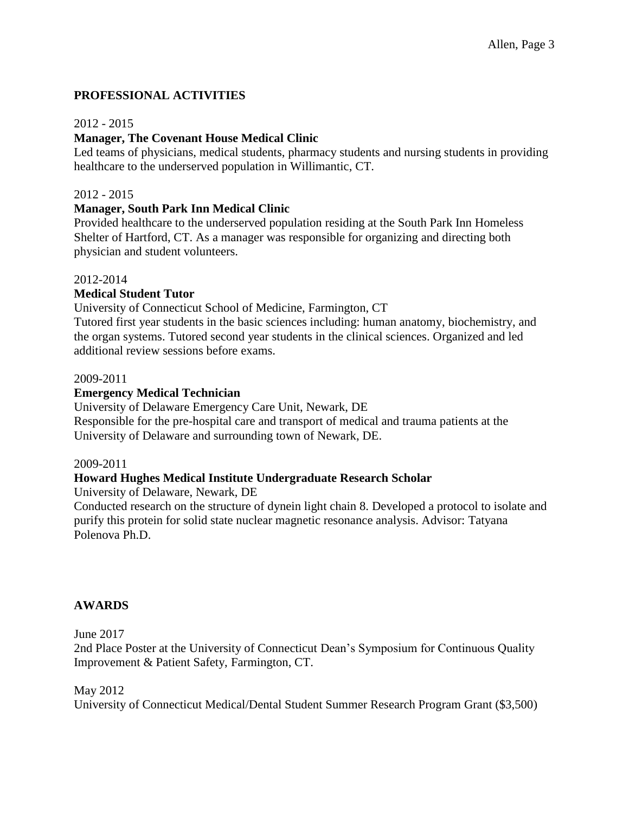# **PROFESSIONAL ACTIVITIES**

#### 2012 - 2015

### **Manager, The Covenant House Medical Clinic**

Led teams of physicians, medical students, pharmacy students and nursing students in providing healthcare to the underserved population in Willimantic, CT.

#### 2012 - 2015

#### **Manager, South Park Inn Medical Clinic**

Provided healthcare to the underserved population residing at the South Park Inn Homeless Shelter of Hartford, CT. As a manager was responsible for organizing and directing both physician and student volunteers.

#### 2012-2014

## **Medical Student Tutor**

University of Connecticut School of Medicine, Farmington, CT

Tutored first year students in the basic sciences including: human anatomy, biochemistry, and the organ systems. Tutored second year students in the clinical sciences. Organized and led additional review sessions before exams.

#### 2009-2011

## **Emergency Medical Technician**

University of Delaware Emergency Care Unit, Newark, DE

Responsible for the pre-hospital care and transport of medical and trauma patients at the University of Delaware and surrounding town of Newark, DE.

#### 2009-2011

#### **Howard Hughes Medical Institute Undergraduate Research Scholar**

University of Delaware, Newark, DE

Conducted research on the structure of dynein light chain 8. Developed a protocol to isolate and purify this protein for solid state nuclear magnetic resonance analysis. Advisor: Tatyana Polenova Ph.D.

#### **AWARDS**

#### June 2017

2nd Place Poster at the University of Connecticut Dean's Symposium for Continuous Quality Improvement & Patient Safety, Farmington, CT.

#### May 2012

University of Connecticut Medical/Dental Student Summer Research Program Grant (\$3,500)